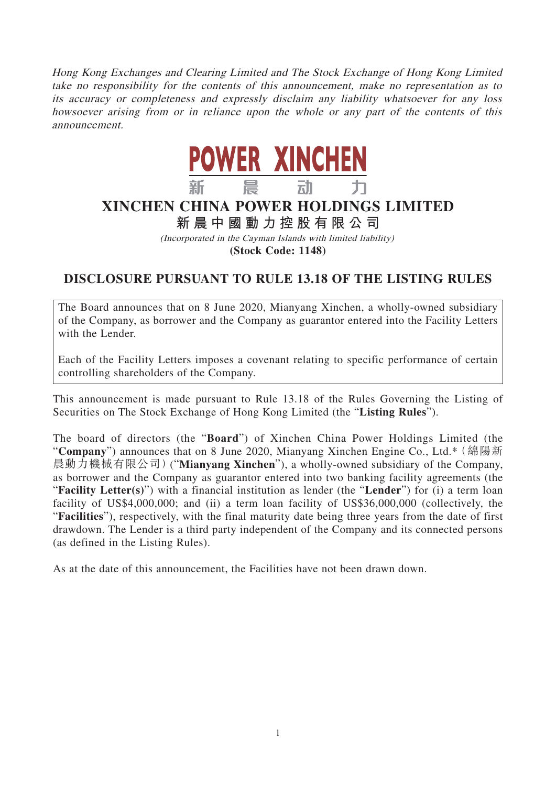Hong Kong Exchanges and Clearing Limited and The Stock Exchange of Hong Kong Limited take no responsibility for the contents of this announcement, make no representation as to its accuracy or completeness and expressly disclaim any liability whatsoever for any loss howsoever arising from or in reliance upon the whole or any part of the contents of this announcement.



## **XINCHEN CHINA POWER HOLDINGS LIMITED**

**新晨中國動力控股有限公司**

(Incorporated in the Cayman Islands with limited liability)

**(Stock Code: 1148)**

## **DISCLOSURE PURSUANT TO RULE 13.18 OF THE LISTING RULES**

The Board announces that on 8 June 2020, Mianyang Xinchen, a wholly-owned subsidiary of the Company, as borrower and the Company as guarantor entered into the Facility Letters with the Lender.

Each of the Facility Letters imposes a covenant relating to specific performance of certain controlling shareholders of the Company.

This announcement is made pursuant to Rule 13.18 of the Rules Governing the Listing of Securities on The Stock Exchange of Hong Kong Limited (the "**Listing Rules**").

The board of directors (the "**Board**") of Xinchen China Power Holdings Limited (the "**Company**") announces that on 8 June 2020, Mianyang Xinchen Engine Co., Ltd.\*(綿陽新 晨動力機械有限公司)("**Mianyang Xinchen**"), a wholly-owned subsidiary of the Company, as borrower and the Company as guarantor entered into two banking facility agreements (the "**Facility Letter(s)**") with a financial institution as lender (the "**Lender**") for (i) a term loan facility of US\$4,000,000; and (ii) a term loan facility of US\$36,000,000 (collectively, the "**Facilities**"), respectively, with the final maturity date being three years from the date of first drawdown. The Lender is a third party independent of the Company and its connected persons (as defined in the Listing Rules).

As at the date of this announcement, the Facilities have not been drawn down.